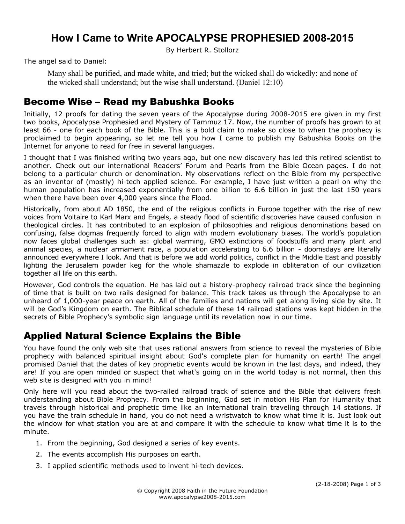# **How I Came to Write APOCALYPSE PROPHESIED 2008-2015**

By Herbert R. Stollorz

The angel said to Daniel:

Many shall be purified, and made white, and tried; but the wicked shall do wickedly: and none of the wicked shall understand; but the wise shall understand. (Daniel 12:10)

#### Become Wise – Read my Babushka Books

Initially, 12 proofs for dating the seven years of the Apocalypse during 2008-2015 ere given in my first two books, Apocalypse Prophesied and Mystery of Tammuz 17. Now, the number of proofs has grown to at least 66 - one for each book of the Bible. This is a bold claim to make so close to when the prophecy is proclaimed to begin appearing, so let me tell you how I came to publish my Babushka Books on the Internet for anyone to read for free in several languages.

I thought that I was finished writing two years ago, but one new discovery has led this retired scientist to another. Check out our international Readers' Forum and Pearls from the Bible Ocean pages. I do not belong to a particular church or denomination. My observations reflect on the Bible from my perspective as an inventor of (mostly) hi-tech applied science. For example, I have just written a pearl on why the human population has increased exponentially from one billion to 6.6 billion in just the last 150 years when there have been over 4,000 years since the Flood.

Historically, from about AD 1850, the end of the religious conflicts in Europe together with the rise of new voices from Voltaire to Karl Marx and Engels, a steady flood of scientific discoveries have caused confusion in theological circles. It has contributed to an explosion of philosophies and religious denominations based on confusing, false dogmas frequently forced to align with modern evolutionary biases. The world's population now faces global challenges such as: global warming, GMO extinctions of foodstuffs and many plant and animal species, a nuclear armament race, a population accelerating to 6.6 billion - doomsdays are literally announced everywhere I look. And that is before we add world politics, conflict in the Middle East and possibly lighting the Jerusalem powder keg for the whole shamazzle to explode in obliteration of our civilization together all life on this earth.

However, God controls the equation. He has laid out a history-prophecy railroad track since the beginning of time that is built on two rails designed for balance. This track takes us through the Apocalypse to an unheard of 1,000-year peace on earth. All of the families and nations will get along living side by site. It will be God's Kingdom on earth. The Biblical schedule of these 14 railroad stations was kept hidden in the secrets of Bible Prophecy's symbolic sign language until its revelation now in our time.

### Applied Natural Science Explains the Bible

You have found the only web site that uses rational answers from science to reveal the mysteries of Bible prophecy with balanced spiritual insight about God's complete plan for humanity on earth! The angel promised Daniel that the dates of key prophetic events would be known in the last days, and indeed, they are! If you are open minded or suspect that what's going on in the world today is not normal, then this web site is designed with you in mind!

Only here will you read about the two-railed railroad track of science and the Bible that delivers fresh understanding about Bible Prophecy. From the beginning, God set in motion His Plan for Humanity that travels through historical and prophetic time like an international train traveling through 14 stations. If you have the train schedule in hand, you do not need a wristwatch to know what time it is. Just look out the window for what station you are at and compare it with the schedule to know what time it is to the minute.

- 1. From the beginning, God designed a series of key events.
- 2. The events accomplish His purposes on earth.
- 3. I applied scientific methods used to invent hi-tech devices.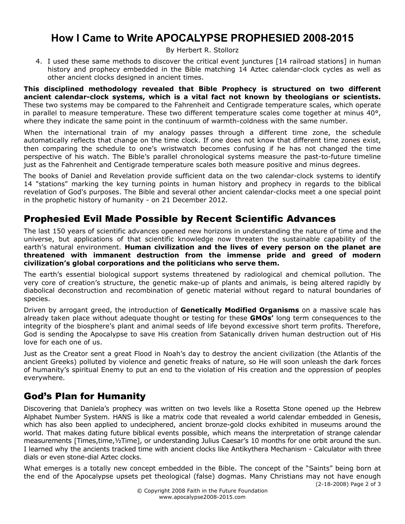# **How I Came to Write APOCALYPSE PROPHESIED 2008-2015**

By Herbert R. Stollorz

4. I used these same methods to discover the critical event junctures [14 railroad stations] in human history and prophecy embedded in the Bible matching 14 Aztec calendar-clock cycles as well as other ancient clocks designed in ancient times.

**This disciplined methodology revealed that Bible Prophecy is structured on two different ancient calendar-clock systems, which is a vital fact not known by theologians or scientists.** These two systems may be compared to the Fahrenheit and Centigrade temperature scales, which operate in parallel to measure temperature. These two different temperature scales come together at minus  $40^{\circ}$ , where they indicate the same point in the continuum of warmth-coldness with the same number.

When the international train of my analogy passes through a different time zone, the schedule automatically reflects that change on the time clock. If one does not know that different time zones exist, then comparing the schedule to one's wristwatch becomes confusing if he has not changed the time perspective of his watch. The Bible's parallel chronological systems measure the past-to-future timeline just as the Fahrenheit and Centigrade temperature scales both measure positive and minus degrees.

The books of Daniel and Revelation provide sufficient data on the two calendar-clock systems to identify 14 "stations" marking the key turning points in human history and prophecy in regards to the biblical revelation of God's purposes. The Bible and several other ancient calendar-clocks meet a one special point in the prophetic history of humanity - on 21 December 2012.

### Prophesied Evil Made Possible by Recent Scientific Advances

The last 150 years of scientific advances opened new horizons in understanding the nature of time and the universe, but applications of that scientific knowledge now threaten the sustainable capability of the earth's natural environment. **Human civilization and the lives of every person on the planet are threatened with immanent destruction from the immense pride and greed of modern civilization's global corporations and the politicians who serve them.**

The earth's essential biological support systems threatened by radiological and chemical pollution. The very core of creation's structure, the genetic make-up of plants and animals, is being altered rapidly by diabolical deconstruction and recombination of genetic material without regard to natural boundaries of species.

Driven by arrogant greed, the introduction of **Genetically Modified Organisms** on a massive scale has already taken place without adequate thought or testing for these **GMOs'** long term consequences to the integrity of the biosphere's plant and animal seeds of life beyond excessive short term profits. Therefore, God is sending the Apocalypse to save His creation from Satanically driven human destruction out of His love for each one of us.

Just as the Creator sent a great Flood in Noah's day to destroy the ancient civilization (the Atlantis of the ancient Greeks) polluted by violence and genetic freaks of nature, so He will soon unleash the dark forces of humanity's spiritual Enemy to put an end to the violation of His creation and the oppression of peoples everywhere.

### God's Plan for Humanity

Discovering that Daniela's prophecy was written on two levels like a Rosetta Stone opened up the Hebrew Alphabet Number System. HANS is like a matrix code that revealed a world calendar embedded in Genesis, which has also been applied to undeciphered, ancient bronze-gold clocks exhibited in museums around the world. That makes dating future biblical events possible, which means the interpretation of strange calendar measurements [Times,time,½Time], or understanding Julius Caesar's 10 months for one orbit around the sun. I learned why the ancients tracked time with ancient clocks like Antikythera Mechanism - Calculator with three dials or even stone-dial Aztec clocks.

What emerges is a totally new concept embedded in the Bible. The concept of the "Saints" being born at the end of the Apocalypse upsets pet theological (false) dogmas. Many Christians may not have enough